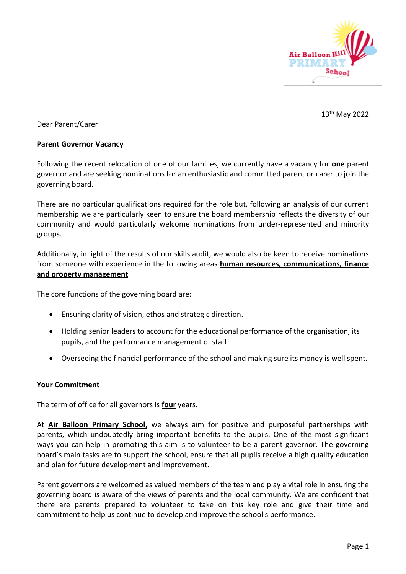

13th May 2022

Dear Parent/Carer

### **Parent Governor Vacancy**

Following the recent relocation of one of our families, we currently have a vacancy for **one** parent governor and are seeking nominations for an enthusiastic and committed parent or carer to join the governing board.

There are no particular qualifications required for the role but, following an analysis of our current membership we are particularly keen to ensure the board membership reflects the diversity of our community and would particularly welcome nominations from under-represented and minority groups.

Additionally, in light of the results of our skills audit, we would also be keen to receive nominations from someone with experience in the following areas **human resources, communications, finance and property management**

The core functions of the governing board are:

- Ensuring clarity of vision, ethos and strategic direction.
- Holding senior leaders to account for the educational performance of the organisation, its pupils, and the performance management of staff.
- Overseeing the financial performance of the school and making sure its money is well spent.

## **Your Commitment**

The term of office for all governors is **four** years.

At **Air Balloon Primary School,** we always aim for positive and purposeful partnerships with parents, which undoubtedly bring important benefits to the pupils. One of the most significant ways you can help in promoting this aim is to volunteer to be a parent governor. The governing board's main tasks are to support the school, ensure that all pupils receive a high quality education and plan for future development and improvement.

Parent governors are welcomed as valued members of the team and play a vital role in ensuring the governing board is aware of the views of parents and the local community. We are confident that there are parents prepared to volunteer to take on this key role and give their time and commitment to help us continue to develop and improve the school's performance.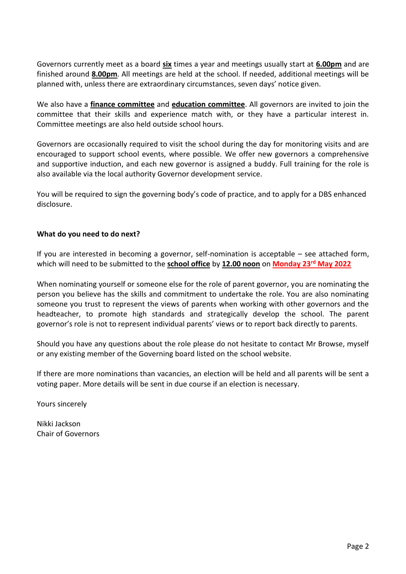Governors currently meet as a board **six** times a year and meetings usually start at **6.00pm** and are finished around **8.00pm**. All meetings are held at the school. If needed, additional meetings will be planned with, unless there are extraordinary circumstances, seven days' notice given.

We also have a **finance committee** and **education committee**. All governors are invited to join the committee that their skills and experience match with, or they have a particular interest in. Committee meetings are also held outside school hours.

Governors are occasionally required to visit the school during the day for monitoring visits and are encouraged to support school events, where possible. We offer new governors a comprehensive and supportive induction, and each new governor is assigned a buddy. Full training for the role is also available via the local authority Governor development service.

You will be required to sign the governing body's code of practice, and to apply for a DBS enhanced disclosure.

## **What do you need to do next?**

If you are interested in becoming a governor, self-nomination is acceptable – see attached form, which will need to be submitted to the **school office** by **12.00 noon** on **Monday 23rd May 2022**

When nominating yourself or someone else for the role of parent governor, you are nominating the person you believe has the skills and commitment to undertake the role. You are also nominating someone you trust to represent the views of parents when working with other governors and the headteacher, to promote high standards and strategically develop the school. The parent governor's role is not to represent individual parents' views or to report back directly to parents.

Should you have any questions about the role please do not hesitate to contact Mr Browse, myself or any existing member of the Governing board listed on the school website.

If there are more nominations than vacancies, an election will be held and all parents will be sent a voting paper. More details will be sent in due course if an election is necessary.

Yours sincerely

Nikki Jackson Chair of Governors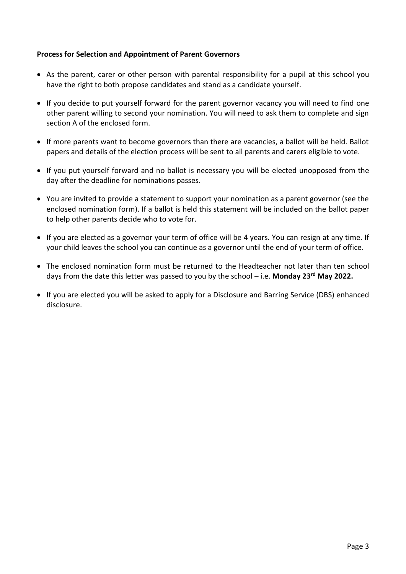## **Process for Selection and Appointment of Parent Governors**

- As the parent, carer or other person with parental responsibility for a pupil at this school you have the right to both propose candidates and stand as a candidate yourself.
- If you decide to put yourself forward for the parent governor vacancy you will need to find one other parent willing to second your nomination. You will need to ask them to complete and sign section A of the enclosed form.
- If more parents want to become governors than there are vacancies, a ballot will be held. Ballot papers and details of the election process will be sent to all parents and carers eligible to vote.
- If you put yourself forward and no ballot is necessary you will be elected unopposed from the day after the deadline for nominations passes.
- You are invited to provide a statement to support your nomination as a parent governor (see the enclosed nomination form). If a ballot is held this statement will be included on the ballot paper to help other parents decide who to vote for.
- If you are elected as a governor your term of office will be 4 years. You can resign at any time. If your child leaves the school you can continue as a governor until the end of your term of office.
- The enclosed nomination form must be returned to the Headteacher not later than ten school days from the date this letter was passed to you by the school – i.e. **Monday 23rd May 2022.**
- If you are elected you will be asked to apply for a Disclosure and Barring Service (DBS) enhanced disclosure.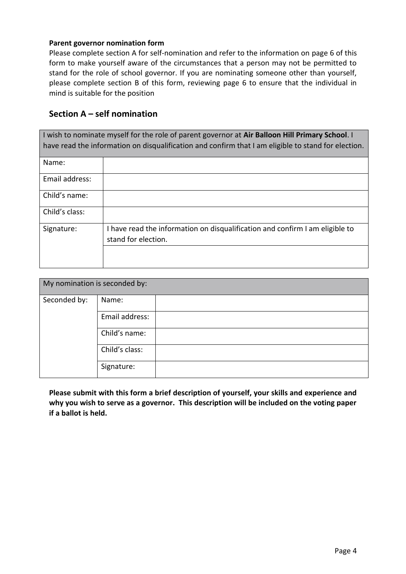#### **Parent governor nomination form**

Please complete section A for self-nomination and refer to the information on page 6 of this form to make yourself aware of the circumstances that a person may not be permitted to stand for the role of school governor. If you are nominating someone other than yourself, please complete section B of this form, reviewing page 6 to ensure that the individual in mind is suitable for the position

# **Section A – self nomination**

| I wish to nominate myself for the role of parent governor at Air Balloon Hill Primary School. I<br>have read the information on disqualification and confirm that I am eligible to stand for election. |                                                                                                     |  |
|--------------------------------------------------------------------------------------------------------------------------------------------------------------------------------------------------------|-----------------------------------------------------------------------------------------------------|--|
| Name:                                                                                                                                                                                                  |                                                                                                     |  |
| Email address:                                                                                                                                                                                         |                                                                                                     |  |
| Child's name:                                                                                                                                                                                          |                                                                                                     |  |
| Child's class:                                                                                                                                                                                         |                                                                                                     |  |
| Signature:                                                                                                                                                                                             | I have read the information on disqualification and confirm I am eligible to<br>stand for election. |  |
|                                                                                                                                                                                                        |                                                                                                     |  |

| My nomination is seconded by: |                |  |  |
|-------------------------------|----------------|--|--|
| Seconded by:                  | Name:          |  |  |
|                               | Email address: |  |  |
|                               | Child's name:  |  |  |
|                               | Child's class: |  |  |
|                               | Signature:     |  |  |

**Please submit with this form a brief description of yourself, your skills and experience and why you wish to serve as a governor. This description will be included on the voting paper if a ballot is held.**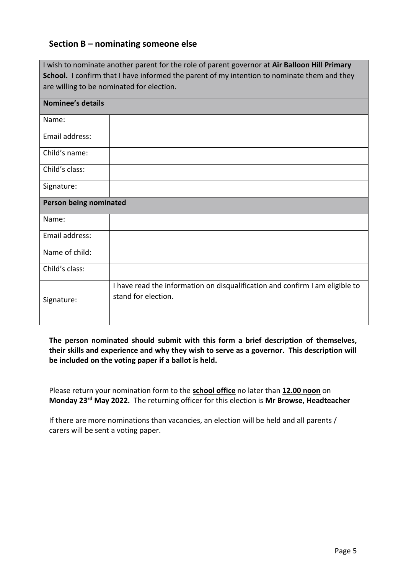# **Section B – nominating someone else**

|                                                                                             | I wish to nominate another parent for the role of parent governor at Air Balloon Hill Primary       |  |  |
|---------------------------------------------------------------------------------------------|-----------------------------------------------------------------------------------------------------|--|--|
| School. I confirm that I have informed the parent of my intention to nominate them and they |                                                                                                     |  |  |
|                                                                                             | are willing to be nominated for election.                                                           |  |  |
| <b>Nominee's details</b>                                                                    |                                                                                                     |  |  |
|                                                                                             |                                                                                                     |  |  |
| Name:                                                                                       |                                                                                                     |  |  |
| Email address:                                                                              |                                                                                                     |  |  |
| Child's name:                                                                               |                                                                                                     |  |  |
| Child's class:                                                                              |                                                                                                     |  |  |
| Signature:                                                                                  |                                                                                                     |  |  |
| Person being nominated                                                                      |                                                                                                     |  |  |
| Name:                                                                                       |                                                                                                     |  |  |
| Email address:                                                                              |                                                                                                     |  |  |
| Name of child:                                                                              |                                                                                                     |  |  |
| Child's class:                                                                              |                                                                                                     |  |  |
| Signature:                                                                                  | I have read the information on disqualification and confirm I am eligible to<br>stand for election. |  |  |
|                                                                                             |                                                                                                     |  |  |

**The person nominated should submit with this form a brief description of themselves, their skills and experience and why they wish to serve as a governor. This description will be included on the voting paper if a ballot is held.**

Please return your nomination form to the **school office** no later than **12.00 noon** on **Monday 23rd May 2022.** The returning officer for this election is **Mr Browse, Headteacher**

If there are more nominations than vacancies, an election will be held and all parents / carers will be sent a voting paper.